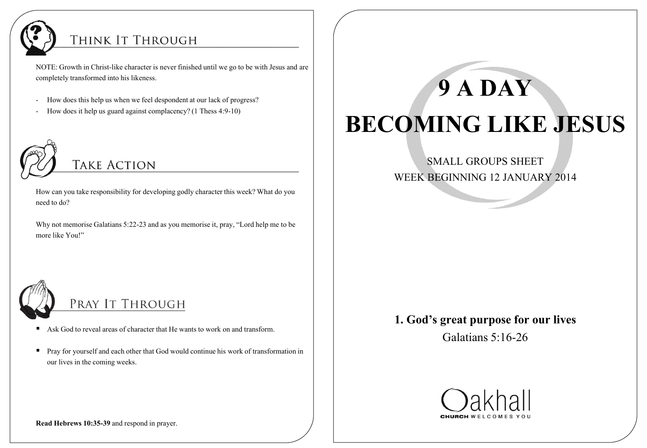

## THINK IT THROUGH

NOTE: Growth in Christ-like character is never finished until we go to be with Jesus and are completely transformed into his likeness.

- How does this help us when we feel despondent at our lack of progress?
- How does it help us guard against complacency? (1 Thess 4:9-10)



# **TAKE ACTION**

How can you take responsibility for developing godly character this week? What do you need to do?

Why not memorise Galatians 5:22-23 and as you memorise it, pray, "Lord help me to be more like You!"



# PRAY IT THROUGH

- Ask God to reveal areas of character that He wants to work on and transform.
- **Pray for yourself and each other that God would continue his work of transformation in** our lives in the coming weeks.

# **9 A DAY BECOMING LIKE JESUS**

SMALL GROUPS SHEET WEEK BEGINNING 12 JANUARY 2014

### **1. God's great purpose for our lives**

Galatians 5:16-26



**Read Hebrews 10:35-39** and respond in prayer.